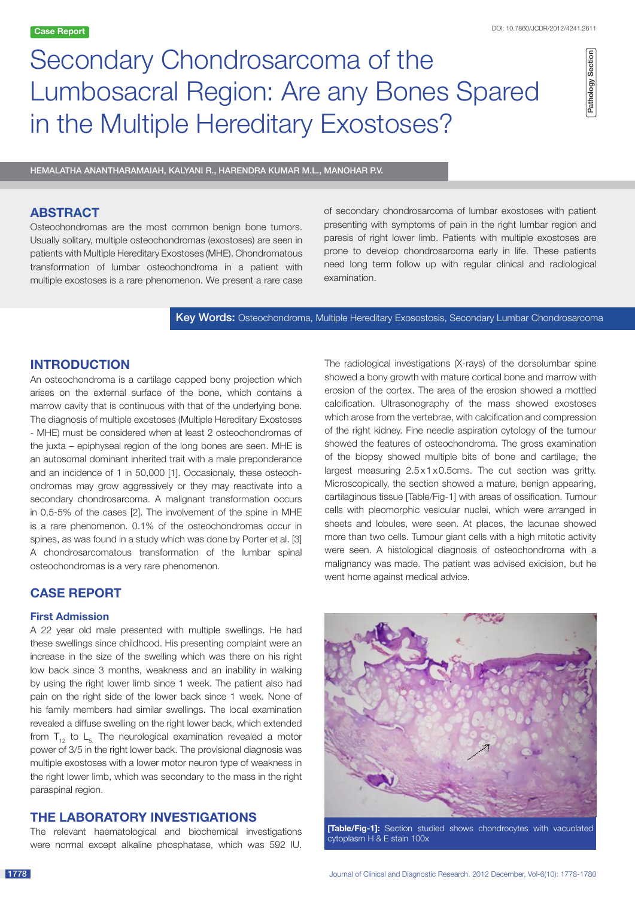# Secondary Chondrosarcoma of the Lumbosacral Region: Are any Bones Spared in the Multiple Hereditary Exostoses?

Pathology Section Pathology Section

Hemalatha Anantharamaiah, Kalyani R., Harendra Kumar M.L., Manohar P.V.

# **ABSTRACT**

Osteochondromas are the most common benign bone tumors. Usually solitary, multiple osteochondromas (exostoses) are seen in patients with Multiple Hereditary Exostoses (MHE). Chondromatous transformation of lumbar osteochondroma in a patient with multiple exostoses is a rare phenomenon. We present a rare case of secondary chondrosarcoma of lumbar exostoses with patient presenting with symptoms of pain in the right lumbar region and paresis of right lower limb. Patients with multiple exostoses are prone to develop chondrosarcoma early in life. These patients need long term follow up with regular clinical and radiological examination.

Key Words: Osteochondroma, Multiple Hereditary Exosostosis, Secondary Lumbar Chondrosarcoma

## **INTRODUCTION**

An osteochondroma is a cartilage capped bony projection which arises on the external surface of the bone, which contains a marrow cavity that is continuous with that of the underlying bone. The diagnosis of multiple exostoses (Multiple Hereditary Exostoses - MHE) must be considered when at least 2 osteochondromas of the juxta – epiphyseal region of the long bones are seen. MHE is an autosomal dominant inherited trait with a male preponderance and an incidence of 1 in 50,000 [1]. Occasionaly, these osteochondromas may grow aggressively or they may reactivate into a secondary chondrosarcoma. A malignant transformation occurs in 0.5-5% of the cases [2]. The involvement of the spine in MHE is a rare phenomenon. 0.1% of the osteochondromas occur in spines, as was found in a study which was done by Porter et al. [3] A chondrosarcomatous transformation of the lumbar spinal osteochondromas is a very rare phenomenon.

# **CASE REPORT**

## **First Admission**

A 22 year old male presented with multiple swellings. He had these swellings since childhood. His presenting complaint were an increase in the size of the swelling which was there on his right low back since 3 months, weakness and an inability in walking by using the right lower limb since 1 week. The patient also had pain on the right side of the lower back since 1 week. None of his family members had similar swellings. The local examination revealed a diffuse swelling on the right lower back, which extended from  $T_{12}$  to  $L_{51}$ . The neurological examination revealed a motor power of 3/5 in the right lower back. The provisional diagnosis was multiple exostoses with a lower motor neuron type of weakness in the right lower limb, which was secondary to the mass in the right paraspinal region.

## **THE LABORATORY INVESTIGATIONS**

The relevant haematological and biochemical investigations were normal except alkaline phosphatase, which was 592 IU. The radiological investigations (X-rays) of the dorsolumbar spine showed a bony growth with mature cortical bone and marrow with erosion of the cortex. The area of the erosion showed a mottled calcification. Ultrasonography of the mass showed exostoses which arose from the vertebrae, with calcification and compression of the right kidney. Fine needle aspiration cytology of the tumour showed the features of osteochondroma. The gross examination of the biopsy showed multiple bits of bone and cartilage, the largest measuring 2.5x1x0.5cms. The cut section was gritty. Microscopically, the section showed a mature, benign appearing, cartilaginous tissue [Table/Fig-1] with areas of ossification. Tumour cells with pleomorphic vesicular nuclei, which were arranged in sheets and lobules, were seen. At places, the lacunae showed more than two cells. Tumour giant cells with a high mitotic activity were seen. A histological diagnosis of osteochondroma with a malignancy was made. The patient was advised exicision, but he went home against medical advice.



cytoplasm H & E stain 100x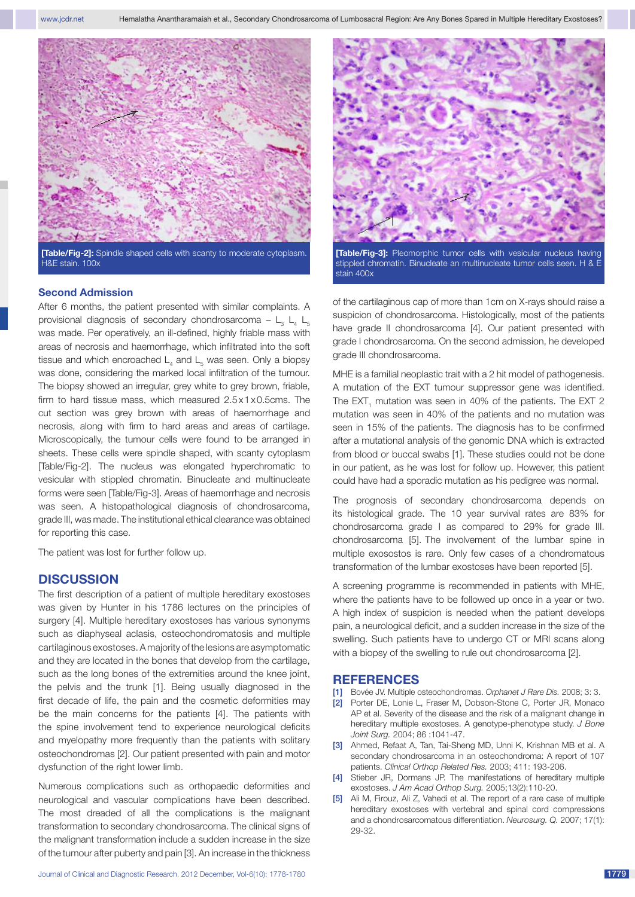

**[Table/Fig-2]:** Spindle shaped cells with scanty to moderate cytoplasm. H&E stain. 100x

#### **Second Admission**

After 6 months, the patient presented with similar complaints. A provisional diagnosis of secondary chondrosarcoma –  $L_3$   $L_4$   $L_5$ was made. Per operatively, an ill-defined, highly friable mass with areas of necrosis and haemorrhage, which infiltrated into the soft tissue and which encroached  $\mathsf{L}_4$  and  $\mathsf{L}_5$  was seen. Only a biopsy was done, considering the marked local infiltration of the tumour. The biopsy showed an irregular, grey white to grey brown, friable, firm to hard tissue mass, which measured 2.5x1x0.5cms. The cut section was grey brown with areas of haemorrhage and necrosis, along with firm to hard areas and areas of cartilage. Microscopically, the tumour cells were found to be arranged in sheets. These cells were spindle shaped, with scanty cytoplasm [Table/Fig-2]. The nucleus was elongated hyperchromatic to vesicular with stippled chromatin. Binucleate and multinucleate forms were seen [Table/Fig-3]. Areas of haemorrhage and necrosis was seen. A histopathological diagnosis of chondrosarcoma, grade III, was made. The institutional ethical clearance was obtained for reporting this case.

The patient was lost for further follow up.

#### **DISCUSSION**

The first description of a patient of multiple hereditary exostoses was given by Hunter in his 1786 lectures on the principles of surgery [4]. Multiple hereditary exostoses has various synonyms such as diaphyseal aclasis, osteochondromatosis and multiple cartilaginous exostoses. A majority of the lesions are asymptomatic and they are located in the bones that develop from the cartilage, such as the long bones of the extremities around the knee joint, the pelvis and the trunk [1]. Being usually diagnosed in the first decade of life, the pain and the cosmetic deformities may be the main concerns for the patients [4]. The patients with the spine involvement tend to experience neurological deficits and myelopathy more frequently than the patients with solitary osteochondromas [2]. Our patient presented with pain and motor dysfunction of the right lower limb.

Numerous complications such as orthopaedic deformities and neurological and vascular complications have been described. The most dreaded of all the complications is the malignant transformation to secondary chondrosarcoma. The clinical signs of the malignant transformation include a sudden increase in the size of the tumour after puberty and pain [3]. An increase in the thickness



**[Table/Fig-3]:** Pleomorphic tumor cells with vesicular nucleus having stippled chromatin. Binucleate an multinucleate tumor cells seen. H & E stain 400x

of the cartilaginous cap of more than 1cm on X-rays should raise a suspicion of chondrosarcoma. Histologically, most of the patients have grade II chondrosarcoma [4]. Our patient presented with grade I chondrosarcoma. On the second admission, he developed grade III chondrosarcoma.

MHE is a familial neoplastic trait with a 2 hit model of pathogenesis. A mutation of the EXT tumour suppressor gene was identified. The  $EXT_{1}$  mutation was seen in 40% of the patients. The EXT 2 mutation was seen in 40% of the patients and no mutation was seen in 15% of the patients. The diagnosis has to be confirmed after a mutational analysis of the genomic DNA which is extracted from blood or buccal swabs [1]. These studies could not be done in our patient, as he was lost for follow up. However, this patient could have had a sporadic mutation as his pedigree was normal.

The prognosis of secondary chondrosarcoma depends on its histological grade. The 10 year survival rates are 83% for chondrosarcoma grade I as compared to 29% for grade III. chondrosarcoma [5]. The involvement of the lumbar spine in multiple exosostos is rare. Only few cases of a chondromatous transformation of the lumbar exostoses have been reported [5].

A screening programme is recommended in patients with MHE, where the patients have to be followed up once in a year or two. A high index of suspicion is needed when the patient develops pain, a neurological deficit, and a sudden increase in the size of the swelling. Such patients have to undergo CT or MRI scans along with a biopsy of the swelling to rule out chondrosarcoma [2].

#### **REFERENCES**

- [1] Bovée JV. Multiple osteochondromas. *Orphanet J Rare Dis.* 2008; 3: 3.
- [2] Porter DE, Lonie L, Fraser M, Dobson-Stone C, Porter JR, Monaco AP et al. Severity of the disease and the risk of a malignant change in hereditary multiple exostoses. A genotype-phenotype study. *J Bone Joint Surg.* 2004; 86 :1041-47.
- [3] Ahmed, Refaat A, Tan, Tai-Sheng MD, Unni K, Krishnan MB et al. A secondary chondrosarcoma in an osteochondroma: A report of 107 patients. *Clinical Orthop Related Res.* 2003; 411: 193-206.
- [4] Stieber JR, Dormans JP. The manifestations of hereditary multiple exostoses. *J Am Acad Orthop Surg.* 2005;13(2):110-20.
- [5] Ali M, Firouz, Ali Z, Vahedi et al. The report of a rare case of multiple hereditary exostoses with vertebral and spinal cord compressions and a chondrosarcomatous differentiation. *Neurosurg. Q.* 2007; 17(1): 29-32.